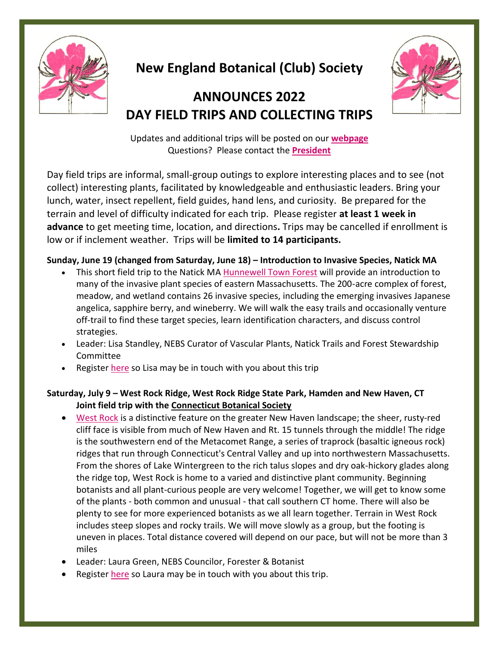

# **New England Botanical (Club) Society**

# **ANNOUNCES 2022 DAY FIELD TRIPS AND COLLECTING TRIPS**



Updates and additional trips will be posted on our **[webpage](http://www.rhodora.org/)** Questions? Please contact the **[President](mailto:president@rhodora.org)**

Day field trips are informal, small-group outings to explore interesting places and to see (not collect) interesting plants, facilitated by knowledgeable and enthusiastic leaders. Bring your lunch, water, insect repellent, field guides, hand lens, and curiosity. Be prepared for the terrain and level of difficulty indicated for each trip. Please register **at least 1 week in advance** to get meeting time, location, and directions**.** Trips may be cancelled if enrollment is low or if inclement weather. Trips will be **limited to 14 participants.**

#### **Sunday, June 19 (changed from Saturday, June 18) – Introduction to Invasive Species, Natick MA**

- This short field trip to the Natick MA **[Hunnewell Town Forest](https://www.natickma.gov/DocumentCenter/View/3821/TownForest)** will provide an introduction to many of the invasive plant species of eastern Massachusetts. The 200-acre complex of forest, meadow, and wetland contains 26 invasive species, including the emerging invasives Japanese angelica, sapphire berry, and wineberry. We will walk the easy trails and occasionally venture off-trail to find these target species, learn identification characters, and discuss control strategies.
- Leader: Lisa Standley, NEBS Curator of Vascular Plants, Natick Trails and Forest Stewardship Committee
- Register [here](https://docs.google.com/forms/d/e/1FAIpQLSf30agMBWMoZefjFrXFBOWpjYM8imJR0F2CbSpqUwe6PdaSmw/viewform?usp=sf_link) so Lisa may be in touch with you about this trip

### **Saturday, July 9 – West Rock Ridge, West Rock Ridge State Park, Hamden and New Haven, CT Joint field trip with the [Connecticut Botanical Society](http://www.ct-botanical-society.org/)**

- [West Rock](https://portal.ct.gov/DEEP/State-Parks/Parks/West-Rock-Ridge-State-Park) is a distinctive feature on the greater New Haven landscape; the sheer, rusty-red cliff face is visible from much of New Haven and Rt. 15 tunnels through the middle! The ridge is the southwestern end of the Metacomet Range, a series of traprock (basaltic igneous rock) ridges that run through Connecticut's Central Valley and up into northwestern Massachusetts. From the shores of Lake Wintergreen to the rich talus slopes and dry oak-hickory glades along the ridge top, West Rock is home to a varied and distinctive plant community. Beginning botanists and all plant-curious people are very welcome! Together, we will get to know some of the plants - both common and unusual - that call southern CT home. There will also be plenty to see for more experienced botanists as we all learn together. Terrain in West Rock includes steep slopes and rocky trails. We will move slowly as a group, but the footing is uneven in places. Total distance covered will depend on our pace, but will not be more than 3 miles
- Leader: Laura Green, NEBS Councilor, Forester & Botanist
- Register [here](https://docs.google.com/forms/d/e/1FAIpQLSeFLi8wDs_s8-aUN5Mp7vDYKPUbDNJGC2oqArvm4-SusemzAA/viewform) so Laura may be in touch with you about this trip.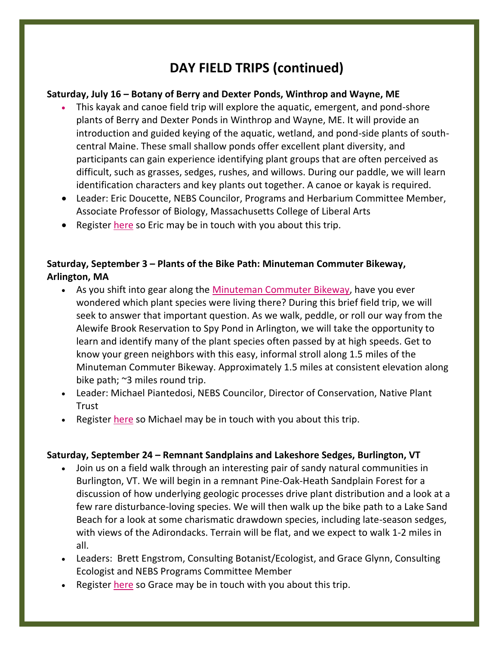## **DAY FIELD TRIPS (continued)**

### **Saturday, July 16 – Botany of Berry and Dexter Ponds, Winthrop and Wayne, ME**

- This kayak and canoe field trip will explore the aquatic, emergent, and pond-shore plants of Berry and Dexter Ponds in Winthrop and Wayne, ME. It will provide an introduction and guided keying of the aquatic, wetland, and pond-side plants of southcentral Maine. These small shallow ponds offer excellent plant diversity, and participants can gain experience identifying plant groups that are often perceived as difficult, such as grasses, sedges, rushes, and willows. During our paddle, we will learn identification characters and key plants out together. A canoe or kayak is required.
- Leader: Eric Doucette, NEBS Councilor, Programs and Herbarium Committee Member, Associate Professor of Biology, Massachusetts College of Liberal Arts
- Register [here](https://docs.google.com/forms/d/e/1FAIpQLSfy1hqSnuvT6nFSafIOqwJbo84owzw27Bi0fWlQwM2OxVOh9g/viewform) so Eric may be in touch with you about this trip.

### **Saturday, September 3 – Plants of the Bike Path: Minuteman Commuter Bikeway, Arlington, MA**

- As you shift into gear along the [Minuteman Commuter Bikeway,](http://minutemanbikeway.org/) have you ever wondered which plant species were living there? During this brief field trip, we will seek to answer that important question. As we walk, peddle, or roll our way from the Alewife Brook Reservation to Spy Pond in Arlington, we will take the opportunity to learn and identify many of the plant species often passed by at high speeds. Get to know your green neighbors with this easy, informal stroll along 1.5 miles of the Minuteman Commuter Bikeway. Approximately 1.5 miles at consistent elevation along bike path; ~3 miles round trip.
- Leader: Michael Piantedosi, NEBS Councilor, Director of Conservation, Native Plant **Trust**
- Register [here](https://docs.google.com/forms/d/e/1FAIpQLSdTHC-w1kIfEumuRtnenhu941IUJebTnjZa_SX5dKTZe_rtiA/viewform) so Michael may be in touch with you about this trip.

### **Saturday, September 24 – Remnant Sandplains and Lakeshore Sedges, Burlington, VT**

- Join us on a field walk through an interesting pair of sandy natural communities in Burlington, VT. We will begin in a remnant Pine-Oak-Heath Sandplain Forest for a discussion of how underlying geologic processes drive plant distribution and a look at a few rare disturbance-loving species. We will then walk up the bike path to a Lake Sand Beach for a look at some charismatic drawdown species, including late-season sedges, with views of the Adirondacks. Terrain will be flat, and we expect to walk 1-2 miles in all.
- Leaders: Brett Engstrom, Consulting Botanist/Ecologist, and Grace Glynn, Consulting Ecologist and NEBS Programs Committee Member
- Register [here](https://docs.google.com/forms/d/e/1FAIpQLSckP50xyVE-V5WGm-OZNKtWflPsxnb4ztRMomIzCjlAstAmHA/viewform) so Grace may be in touch with you about this trip.